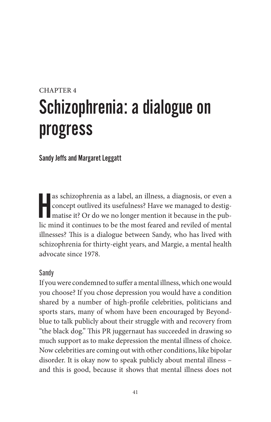# CHAPTER 4 Schizophrenia: a dialogue on progress

Sandy Jeffs and Margaret Leggatt

as schizophrenia as a label, an illness, a diagnosis, or even a concept outlived its usefulness? Have we managed to destigmatise it? Or do we no longer mention it because in the public mind it continues to be the most fear as schizophrenia as a label, an illness, a diagnosis, or even a concept outlived its usefulness? Have we managed to destigmatise it? Or do we no longer mention it because in the pubillnesses? This is a dialogue between Sandy, who has lived with schizophrenia for thirty-eight years, and Margie, a mental health advocate since 1978.

#### Sandy

If you were condemned to suffer a mental illness, which one would you choose? If you chose depression you would have a condition shared by a number of high-profile celebrities, politicians and sports stars, many of whom have been encouraged by Beyondblue to talk publicly about their struggle with and recovery from "the black dog." This PR juggernaut has succeeded in drawing so much support as to make depression the mental illness of choice. Now celebrities are coming out with other conditions, like bipolar disorder. It is okay now to speak publicly about mental illness – and this is good, because it shows that mental illness does not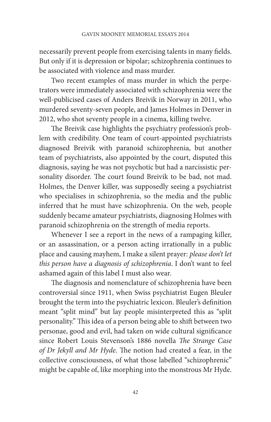necessarily prevent people from exercising talents in many fields. But only if it is depression or bipolar; schizophrenia continues to be associated with violence and mass murder.

Two recent examples of mass murder in which the perpetrators were immediately associated with schizophrenia were the well-publicised cases of Anders Breivik in Norway in 2011, who murdered seventy-seven people, and James Holmes in Denver in 2012, who shot seventy people in a cinema, killing twelve.

The Breivik case highlights the psychiatry profession's problem with credibility. One team of court-appointed psychiatrists diagnosed Breivik with paranoid schizophrenia, but another team of psychiatrists, also appointed by the court, disputed this diagnosis, saying he was not psychotic but had a narcissistic personality disorder. The court found Breivik to be bad, not mad. Holmes, the Denver killer, was supposedly seeing a psychiatrist who specialises in schizophrenia, so the media and the public inferred that he must have schizophrenia. On the web, people suddenly became amateur psychiatrists, diagnosing Holmes with paranoid schizophrenia on the strength of media reports.

Whenever I see a report in the news of a rampaging killer, or an assassination, or a person acting irrationally in a public place and causing mayhem, I make a silent prayer: *please don't let this person have a diagnosis of schizophrenia*. I don't want to feel ashamed again of this label I must also wear.

The diagnosis and nomenclature of schizophrenia have been controversial since 1911, when Swiss psychiatrist Eugen Bleuler brought the term into the psychiatric lexicon. Bleuler's definition meant "split mind" but lay people misinterpreted this as "split personality." This idea of a person being able to shift between two personae, good and evil, had taken on wide cultural significance since Robert Louis Stevenson's 1886 novella *The Strange Case of Dr Jekyll and Mr Hyde*. The notion had created a fear, in the collective consciousness, of what those labelled "schizophrenic" might be capable of, like morphing into the monstrous Mr Hyde.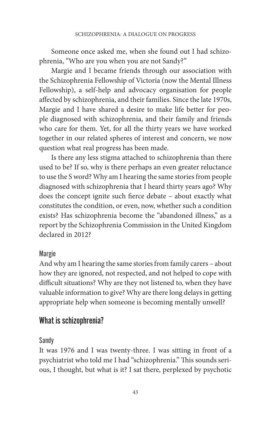Someone once asked me, when she found out I had schizophrenia, "Who are you when you are not Sandy?"

Margie and I became friends through our association with the Schizophrenia Fellowship of Victoria (now the Mental Illness Fellowship), a self-help and advocacy organisation for people affected by schizophrenia, and their families. Since the late 1970s, Margie and I have shared a desire to make life better for people diagnosed with schizophrenia, and their family and friends who care for them. Yet, for all the thirty years we have worked together in our related spheres of interest and concern, we now question what real progress has been made.

Is there any less stigma attached to schizophrenia than there used to be? If so, why is there perhaps an even greater reluctance to use the S word? Why am I hearing the same stories from people diagnosed with schizophrenia that I heard thirty years ago? Why does the concept ignite such fierce debate – about exactly what constitutes the condition, or even, now, whether such a condition exists? Has schizophrenia become the "abandoned illness," as a report by the Schizophrenia Commission in the United Kingdom declared in 2012?

## Margie

And why am I hearing the same stories from family carers – about how they are ignored, not respected, and not helped to cope with difficult situations? Why are they not listened to, when they have valuable information to give? Why are there long delays in getting appropriate help when someone is becoming mentally unwell?

# What is schizophrenia?

## Sandy

It was 1976 and I was twenty-three. I was sitting in front of a psychiatrist who told me I had "schizophrenia." This sounds serious, I thought, but what is it? I sat there, perplexed by psychotic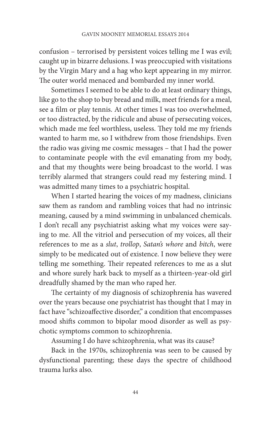confusion – terrorised by persistent voices telling me I was evil; caught up in bizarre delusions. I was preoccupied with visitations by the Virgin Mary and a hag who kept appearing in my mirror. The outer world menaced and bombarded my inner world.

Sometimes I seemed to be able to do at least ordinary things, like go to the shop to buy bread and milk, meet friends for a meal, see a film or play tennis. At other times I was too overwhelmed, or too distracted, by the ridicule and abuse of persecuting voices, which made me feel worthless, useless. They told me my friends wanted to harm me, so I withdrew from those friendships. Even the radio was giving me cosmic messages – that I had the power to contaminate people with the evil emanating from my body, and that my thoughts were being broadcast to the world. I was terribly alarmed that strangers could read my festering mind. I was admitted many times to a psychiatric hospital.

When I started hearing the voices of my madness, clinicians saw them as random and rambling voices that had no intrinsic meaning, caused by a mind swimming in unbalanced chemicals. I don't recall any psychiatrist asking what my voices were saying to me. All the vitriol and persecution of my voices, all their references to me as a *slut*, *trollop*, *Satan's whore* and *bitch*, were simply to be medicated out of existence. I now believe they were telling me something. Their repeated references to me as a slut and whore surely hark back to myself as a thirteen-year-old girl dreadfully shamed by the man who raped her.

The certainty of my diagnosis of schizophrenia has wavered over the years because one psychiatrist has thought that I may in fact have "schizoaffective disorder," a condition that encompasses mood shifts common to bipolar mood disorder as well as psychotic symptoms common to schizophrenia.

Assuming I do have schizophrenia, what was its cause?

Back in the 1970s, schizophrenia was seen to be caused by dysfunctional parenting; these days the spectre of childhood trauma lurks also.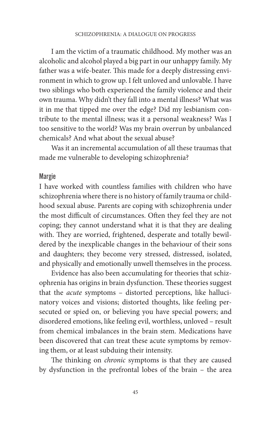I am the victim of a traumatic childhood. My mother was an alcoholic and alcohol played a big part in our unhappy family. My father was a wife-beater. This made for a deeply distressing environment in which to grow up. I felt unloved and unlovable. I have two siblings who both experienced the family violence and their own trauma. Why didn't they fall into a mental illness? What was it in me that tipped me over the edge? Did my lesbianism contribute to the mental illness; was it a personal weakness? Was I too sensitive to the world? Was my brain overrun by unbalanced chemicals? And what about the sexual abuse?

Was it an incremental accumulation of all these traumas that made me vulnerable to developing schizophrenia?

#### Margie

I have worked with countless families with children who have schizophrenia where there is no history of family trauma or childhood sexual abuse. Parents are coping with schizophrenia under the most difficult of circumstances. Often they feel they are not coping; they cannot understand what it is that they are dealing with. They are worried, frightened, desperate and totally bewildered by the inexplicable changes in the behaviour of their sons and daughters; they become very stressed, distressed, isolated, and physically and emotionally unwell themselves in the process.

Evidence has also been accumulating for theories that schizophrenia has origins in brain dysfunction. These theories suggest that the *acute* symptoms – distorted perceptions, like hallucinatory voices and visions; distorted thoughts, like feeling persecuted or spied on, or believing you have special powers; and disordered emotions, like feeling evil, worthless, unloved – result from chemical imbalances in the brain stem. Medications have been discovered that can treat these acute symptoms by removing them, or at least subduing their intensity.

The thinking on *chronic* symptoms is that they are caused by dysfunction in the prefrontal lobes of the brain – the area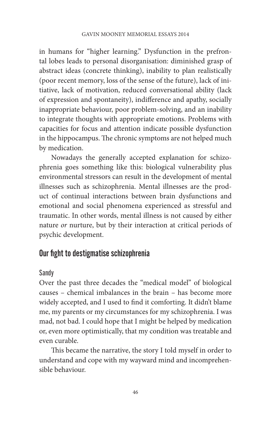in humans for "higher learning." Dysfunction in the prefrontal lobes leads to personal disorganisation: diminished grasp of abstract ideas (concrete thinking), inability to plan realistically (poor recent memory, loss of the sense of the future), lack of initiative, lack of motivation, reduced conversational ability (lack of expression and spontaneity), indifference and apathy, socially inappropriate behaviour, poor problem-solving, and an inability to integrate thoughts with appropriate emotions. Problems with capacities for focus and attention indicate possible dysfunction in the hippocampus. The chronic symptoms are not helped much by medication.

Nowadays the generally accepted explanation for schizophrenia goes something like this: biological vulnerability plus environmental stressors can result in the development of mental illnesses such as schizophrenia. Mental illnesses are the product of continual interactions between brain dysfunctions and emotional and social phenomena experienced as stressful and traumatic. In other words, mental illness is not caused by either nature *or* nurture, but by their interaction at critical periods of psychic development.

# Our fight to destigmatise schizophrenia

## Sandy

Over the past three decades the "medical model" of biological causes – chemical imbalances in the brain – has become more widely accepted, and I used to find it comforting. It didn't blame me, my parents or my circumstances for my schizophrenia. I was mad, not bad. I could hope that I might be helped by medication or, even more optimistically, that my condition was treatable and even curable.

This became the narrative, the story I told myself in order to understand and cope with my wayward mind and incomprehensible behaviour.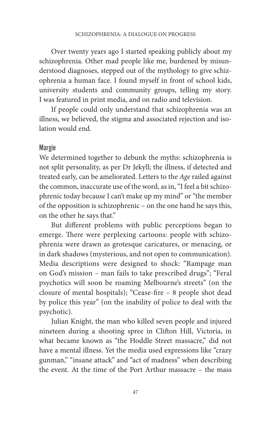Over twenty years ago I started speaking publicly about my schizophrenia. Other mad people like me, burdened by misunderstood diagnoses, stepped out of the mythology to give schizophrenia a human face. I found myself in front of school kids, university students and community groups, telling my story. I was featured in print media, and on radio and television.

If people could only understand that schizophrenia was an illness, we believed, the stigma and associated rejection and isolation would end.

#### Margie

We determined together to debunk the myths: schizophrenia is not split personality, as per Dr Jekyll; the illness, if detected and treated early, can be ameliorated. Letters to the *Age* railed against the common, inaccurate use of the word, as in, "I feel a bit schizophrenic today because I can't make up my mind" or "the member of the opposition is schizophrenic – on the one hand he says this, on the other he says that."

But different problems with public perceptions began to emerge. There were perplexing cartoons: people with schizophrenia were drawn as grotesque caricatures, or menacing, or in dark shadows (mysterious, and not open to communication). Media descriptions were designed to shock: "Rampage man on God's mission – man fails to take prescribed drugs"; "Feral psychotics will soon be roaming Melbourne's streets" (on the closure of mental hospitals); "Cease-fire – 8 people shot dead by police this year" (on the inability of police to deal with the psychotic).

Julian Knight, the man who killed seven people and injured nineteen during a shooting spree in Clifton Hill, Victoria, in what became known as "the Hoddle Street massacre," did not have a mental illness. Yet the media used expressions like "crazy gunman," "insane attack" and "act of madness" when describing the event. At the time of the Port Arthur massacre – the mass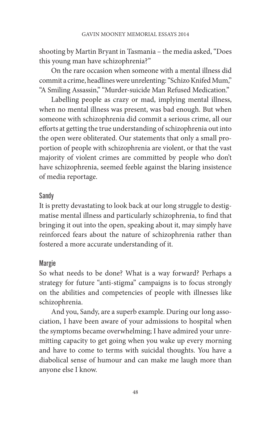shooting by Martin Bryant in Tasmania – the media asked, "Does this young man have schizophrenia?"

On the rare occasion when someone with a mental illness did commit a crime, headlines were unrelenting: "Schizo Knifed Mum," "A Smiling Assassin," "Murder-suicide Man Refused Medication."

Labelling people as crazy or mad, implying mental illness, when no mental illness was present, was bad enough. But when someone with schizophrenia did commit a serious crime, all our efforts at getting the true understanding of schizophrenia out into the open were obliterated. Our statements that only a small proportion of people with schizophrenia are violent, or that the vast majority of violent crimes are committed by people who don't have schizophrenia, seemed feeble against the blaring insistence of media reportage.

## Sandy

It is pretty devastating to look back at our long struggle to destigmatise mental illness and particularly schizophrenia, to find that bringing it out into the open, speaking about it, may simply have reinforced fears about the nature of schizophrenia rather than fostered a more accurate understanding of it.

## Margie

So what needs to be done? What is a way forward? Perhaps a strategy for future "anti-stigma" campaigns is to focus strongly on the abilities and competencies of people with illnesses like schizophrenia.

And you, Sandy, are a superb example. During our long association, I have been aware of your admissions to hospital when the symptoms became overwhelming; I have admired your unremitting capacity to get going when you wake up every morning and have to come to terms with suicidal thoughts. You have a diabolical sense of humour and can make me laugh more than anyone else I know.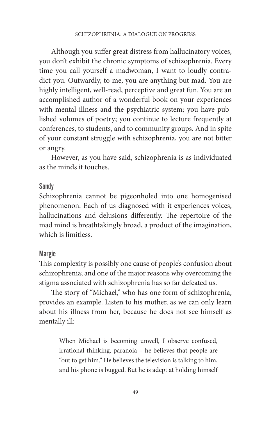Although you suffer great distress from hallucinatory voices, you don't exhibit the chronic symptoms of schizophrenia. Every time you call yourself a madwoman, I want to loudly contradict you. Outwardly, to me, you are anything but mad. You are highly intelligent, well-read, perceptive and great fun. You are an accomplished author of a wonderful book on your experiences with mental illness and the psychiatric system; you have published volumes of poetry; you continue to lecture frequently at conferences, to students, and to community groups. And in spite of your constant struggle with schizophrenia, you are not bitter or angry.

However, as you have said, schizophrenia is as individuated as the minds it touches.

#### Sandy

Schizophrenia cannot be pigeonholed into one homogenised phenomenon. Each of us diagnosed with it experiences voices, hallucinations and delusions differently. The repertoire of the mad mind is breathtakingly broad, a product of the imagination, which is limitless.

#### Margie

This complexity is possibly one cause of people's confusion about schizophrenia; and one of the major reasons why overcoming the stigma associated with schizophrenia has so far defeated us.

The story of "Michael," who has one form of schizophrenia, provides an example. Listen to his mother, as we can only learn about his illness from her, because he does not see himself as mentally ill:

> When Michael is becoming unwell, I observe confused, irrational thinking, paranoia – he believes that people are "out to get him." He believes the television is talking to him, and his phone is bugged. But he is adept at holding himself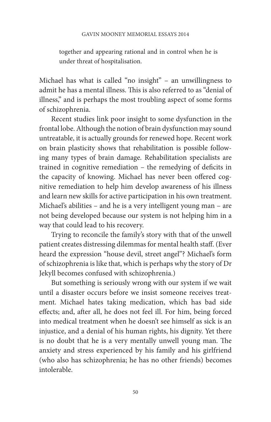together and appearing rational and in control when he is under threat of hospitalisation.

Michael has what is called "no insight" – an unwillingness to admit he has a mental illness. This is also referred to as "denial of illness," and is perhaps the most troubling aspect of some forms of schizophrenia.

Recent studies link poor insight to some dysfunction in the frontal lobe. Although the notion of brain dysfunction may sound untreatable, it is actually grounds for renewed hope. Recent work on brain plasticity shows that rehabilitation is possible following many types of brain damage. Rehabilitation specialists are trained in cognitive remediation – the remedying of deficits in the capacity of knowing. Michael has never been offered cognitive remediation to help him develop awareness of his illness and learn new skills for active participation in his own treatment. Michael's abilities – and he is a very intelligent young man – are not being developed because our system is not helping him in a way that could lead to his recovery.

Trying to reconcile the family's story with that of the unwell patient creates distressing dilemmas for mental health staff. (Ever heard the expression "house devil, street angel"? Michael's form of schizophrenia is like that, which is perhaps why the story of Dr Jekyll becomes confused with schizophrenia.)

But something is seriously wrong with our system if we wait until a disaster occurs before we insist someone receives treatment. Michael hates taking medication, which has bad side effects; and, after all, he does not feel ill. For him, being forced into medical treatment when he doesn't see himself as sick is an injustice, and a denial of his human rights, his dignity. Yet there is no doubt that he is a very mentally unwell young man. The anxiety and stress experienced by his family and his girlfriend (who also has schizophrenia; he has no other friends) becomes intolerable.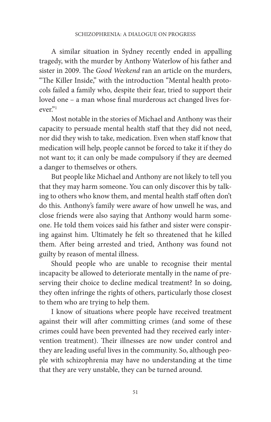A similar situation in Sydney recently ended in appalling tragedy, with the murder by Anthony Waterlow of his father and sister in 2009. The *Good Weekend* ran an article on the murders, "The Killer Inside," with the introduction "Mental health protocols failed a family who, despite their fear, tried to support their loved one – a man whose final murderous act changed lives forever."1

Most notable in the stories of Michael and Anthony was their capacity to persuade mental health staff that they did not need, nor did they wish to take, medication. Even when staff know that medication will help, people cannot be forced to take it if they do not want to; it can only be made compulsory if they are deemed a danger to themselves or others.

But people like Michael and Anthony are not likely to tell you that they may harm someone. You can only discover this by talking to others who know them, and mental health staff often don't do this. Anthony's family were aware of how unwell he was, and close friends were also saying that Anthony would harm someone. He told them voices said his father and sister were conspiring against him. Ultimately he felt so threatened that he killed them. After being arrested and tried, Anthony was found not guilty by reason of mental illness.

Should people who are unable to recognise their mental incapacity be allowed to deteriorate mentally in the name of preserving their choice to decline medical treatment? In so doing, they often infringe the rights of others, particularly those closest to them who are trying to help them.

I know of situations where people have received treatment against their will after committing crimes (and some of these crimes could have been prevented had they received early intervention treatment). Their illnesses are now under control and they are leading useful lives in the community. So, although people with schizophrenia may have no understanding at the time that they are very unstable, they can be turned around.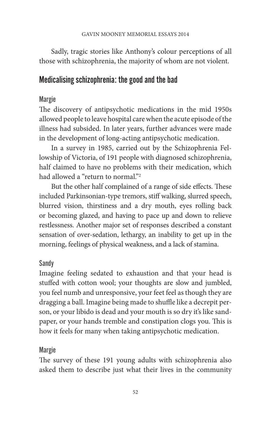Sadly, tragic stories like Anthony's colour perceptions of all those with schizophrenia, the majority of whom are not violent.

# Medicalising schizophrenia: the good and the bad

## Margie

The discovery of antipsychotic medications in the mid 1950s allowed people to leave hospital care when the acute episode of the illness had subsided. In later years, further advances were made in the development of long-acting antipsychotic medication.

In a survey in 1985, carried out by the Schizophrenia Fellowship of Victoria, of 191 people with diagnosed schizophrenia, half claimed to have no problems with their medication, which had allowed a "return to normal."<sup>2</sup>

But the other half complained of a range of side effects. These included Parkinsonian-type tremors, stiff walking, slurred speech, blurred vision, thirstiness and a dry mouth, eyes rolling back or becoming glazed, and having to pace up and down to relieve restlessness. Another major set of responses described a constant sensation of over-sedation, lethargy, an inability to get up in the morning, feelings of physical weakness, and a lack of stamina.

## Sandy

Imagine feeling sedated to exhaustion and that your head is stuffed with cotton wool; your thoughts are slow and jumbled, you feel numb and unresponsive, your feet feel as though they are dragging a ball. Imagine being made to shuffle like a decrepit person, or your libido is dead and your mouth is so dry it's like sandpaper, or your hands tremble and constipation clogs you. This is how it feels for many when taking antipsychotic medication.

## Margie

The survey of these 191 young adults with schizophrenia also asked them to describe just what their lives in the community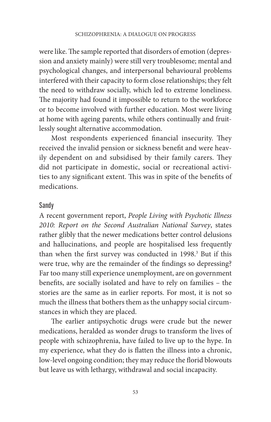were like. The sample reported that disorders of emotion (depression and anxiety mainly) were still very troublesome; mental and psychological changes, and interpersonal behavioural problems interfered with their capacity to form close relationships; they felt the need to withdraw socially, which led to extreme loneliness. The majority had found it impossible to return to the workforce or to become involved with further education. Most were living at home with ageing parents, while others continually and fruitlessly sought alternative accommodation.

Most respondents experienced financial insecurity. They received the invalid pension or sickness benefit and were heavily dependent on and subsidised by their family carers. They did not participate in domestic, social or recreational activities to any significant extent. This was in spite of the benefits of medications.

#### Sandy

A recent government report, *People Living with Psychotic Illness 2010: Report on the Second Australian National Survey*, states rather glibly that the newer medications better control delusions and hallucinations, and people are hospitalised less frequently than when the first survey was conducted in 1998.<sup>3</sup> But if this were true, why are the remainder of the findings so depressing? Far too many still experience unemployment, are on government benefits, are socially isolated and have to rely on families – the stories are the same as in earlier reports. For most, it is not so much the illness that bothers them as the unhappy social circumstances in which they are placed.

The earlier antipsychotic drugs were crude but the newer medications, heralded as wonder drugs to transform the lives of people with schizophrenia, have failed to live up to the hype. In my experience, what they do is flatten the illness into a chronic, low-level ongoing condition; they may reduce the florid blowouts but leave us with lethargy, withdrawal and social incapacity.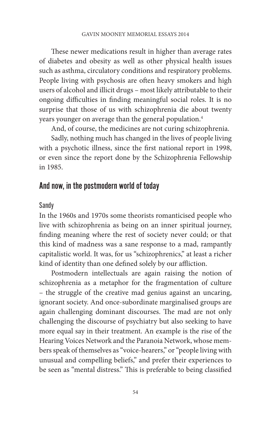These newer medications result in higher than average rates of diabetes and obesity as well as other physical health issues such as asthma, circulatory conditions and respiratory problems. People living with psychosis are often heavy smokers and high users of alcohol and illicit drugs – most likely attributable to their ongoing difficulties in finding meaningful social roles. It is no surprise that those of us with schizophrenia die about twenty years younger on average than the general population.<sup>4</sup>

And, of course, the medicines are not curing schizophrenia.

Sadly, nothing much has changed in the lives of people living with a psychotic illness, since the first national report in 1998, or even since the report done by the Schizophrenia Fellowship in 1985.

## And now, in the postmodern world of today

#### Sandy

In the 1960s and 1970s some theorists romanticised people who live with schizophrenia as being on an inner spiritual journey, finding meaning where the rest of society never could; or that this kind of madness was a sane response to a mad, rampantly capitalistic world. It was, for us "schizophrenics," at least a richer kind of identity than one defined solely by our affliction.

Postmodern intellectuals are again raising the notion of schizophrenia as a metaphor for the fragmentation of culture – the struggle of the creative mad genius against an uncaring, ignorant society. And once-subordinate marginalised groups are again challenging dominant discourses. The mad are not only challenging the discourse of psychiatry but also seeking to have more equal say in their treatment. An example is the rise of the Hearing Voices Network and the Paranoia Network, whose members speak of themselves as "voice-hearers," or "people living with unusual and compelling beliefs," and prefer their experiences to be seen as "mental distress." This is preferable to being classified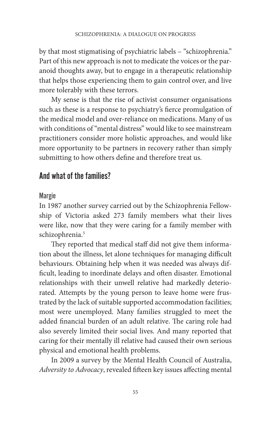by that most stigmatising of psychiatric labels – "schizophrenia." Part of this new approach is not to medicate the voices or the paranoid thoughts away, but to engage in a therapeutic relationship that helps those experiencing them to gain control over, and live more tolerably with these terrors.

My sense is that the rise of activist consumer organisations such as these is a response to psychiatry's fierce promulgation of the medical model and over-reliance on medications. Many of us with conditions of "mental distress" would like to see mainstream practitioners consider more holistic approaches, and would like more opportunity to be partners in recovery rather than simply submitting to how others define and therefore treat us.

## And what of the families?

## Margie

In 1987 another survey carried out by the Schizophrenia Fellowship of Victoria asked 273 family members what their lives were like, now that they were caring for a family member with schizophrenia.<sup>5</sup>

They reported that medical staff did not give them information about the illness, let alone techniques for managing difficult behaviours. Obtaining help when it was needed was always difficult, leading to inordinate delays and often disaster. Emotional relationships with their unwell relative had markedly deteriorated. Attempts by the young person to leave home were frustrated by the lack of suitable supported accommodation facilities; most were unemployed. Many families struggled to meet the added financial burden of an adult relative. The caring role had also severely limited their social lives. And many reported that caring for their mentally ill relative had caused their own serious physical and emotional health problems.

In 2009 a survey by the Mental Health Council of Australia, *Adversity to Advocacy*, revealed fifteen key issues affecting mental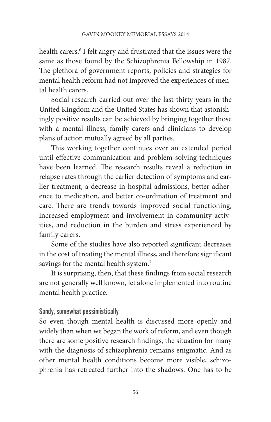health carers.6 I felt angry and frustrated that the issues were the same as those found by the Schizophrenia Fellowship in 1987. The plethora of government reports, policies and strategies for mental health reform had not improved the experiences of mental health carers.

Social research carried out over the last thirty years in the United Kingdom and the United States has shown that astonishingly positive results can be achieved by bringing together those with a mental illness, family carers and clinicians to develop plans of action mutually agreed by all parties.

This working together continues over an extended period until effective communication and problem-solving techniques have been learned. The research results reveal a reduction in relapse rates through the earlier detection of symptoms and earlier treatment, a decrease in hospital admissions, better adherence to medication, and better co-ordination of treatment and care. There are trends towards improved social functioning, increased employment and involvement in community activities, and reduction in the burden and stress experienced by family carers.

Some of the studies have also reported significant decreases in the cost of treating the mental illness, and therefore significant savings for the mental health system.<sup>7</sup>

It is surprising, then, that these findings from social research are not generally well known, let alone implemented into routine mental health practice.

## Sandy, somewhat pessimistically

So even though mental health is discussed more openly and widely than when we began the work of reform, and even though there are some positive research findings, the situation for many with the diagnosis of schizophrenia remains enigmatic. And as other mental health conditions become more visible, schizophrenia has retreated further into the shadows. One has to be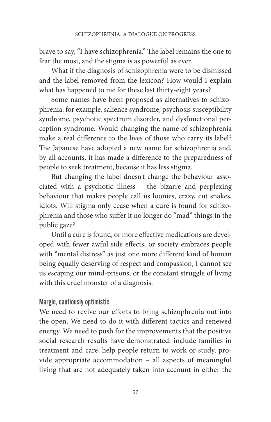brave to say, "I have schizophrenia." The label remains the one to fear the most, and the stigma is as powerful as ever.

What if the diagnosis of schizophrenia were to be dismissed and the label removed from the lexicon? How would I explain what has happened to me for these last thirty-eight years?

Some names have been proposed as alternatives to schizophrenia: for example, salience syndrome, psychosis susceptibility syndrome, psychotic spectrum disorder, and dysfunctional perception syndrome. Would changing the name of schizophrenia make a real difference to the lives of those who carry its label? The Japanese have adopted a new name for schizophrenia and, by all accounts, it has made a difference to the preparedness of people to seek treatment, because it has less stigma.

But changing the label doesn't change the behaviour associated with a psychotic illness – the bizarre and perplexing behaviour that makes people call us loonies, crazy, cut snakes, idiots. Will stigma only cease when a cure is found for schizophrenia and those who suffer it no longer do "mad" things in the public gaze?

Until a cure is found, or more effective medications are developed with fewer awful side effects, or society embraces people with "mental distress" as just one more different kind of human being equally deserving of respect and compassion, I cannot see us escaping our mind-prisons, or the constant struggle of living with this cruel monster of a diagnosis.

## Margie, cautiously optimistic

We need to revive our efforts to bring schizophrenia out into the open. We need to do it with different tactics and renewed energy. We need to push for the improvements that the positive social research results have demonstrated: include families in treatment and care, help people return to work or study, provide appropriate accommodation – all aspects of meaningful living that are not adequately taken into account in either the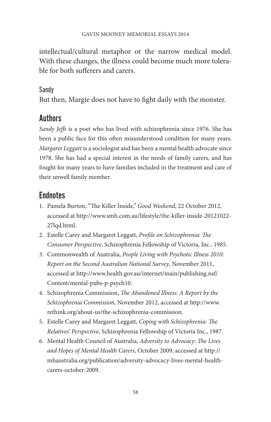intellectual/cultural metaphor or the narrow medical model. With these changes, the illness could become much more tolerable for both sufferers and carers.

## Sandy

But then, Margie does not have to fight daily with the monster.

# **Authors**

*Sandy Jeffs* is a poet who has lived with schizophrenia since 1976. She has been a public face for this often misunderstood condition for many years. *Margaret Leggatt* is a sociologist and has been a mental health advocate since 1978. She has had a special interest in the needs of family carers, and has fought for many years to have families included in the treatment and care of their unwell family member.

# **Endnotes**

- 1. Pamela Burton, "The Killer Inside," *Good Weekend*, 22 October 2012, accessed at [http://www.smh.com.au/lifestyle/the-killer-inside-20121022-](http://www.smh.com.au/lifestyle/the-killer-inside-20121022-27lqd.html) [27lqd.html.](http://www.smh.com.au/lifestyle/the-killer-inside-20121022-27lqd.html)
- 2. Estelle Carey and Margaret Leggatt, *Profile on Schizophrenia: The Consumer Perspective*, Schizophrenia Fellowship of Victoria, Inc., 1985.
- 3. Commonwealth of Australia, *People Living with Psychotic Illness 2010: Report on the Second Australian National Survey*, November 2011, accessed at [http://www.health.gov.au/internet/main/publishing.nsf/](http://www.health.gov.au/internet/main/publishing.nsf/Content/mental-pubs-p-psych10) [Content/mental-pubs-p-psych10.](http://www.health.gov.au/internet/main/publishing.nsf/Content/mental-pubs-p-psych10)
- 4. Schizophrenia Commission, *The Abandoned Illness: A Report by the Schizophrenia Commission*, November 2012, accessed at http://www. rethink.org/about-us/the-schizophrenia-commission.
- 5. Estelle Carey and Margaret Leggatt, *Coping with Schizophrenia: The Relatives' Perspective*, Schizophrenia Fellowship of Victoria Inc., 1987.
- 6. Mental Health Council of Australia, *Adversity to Advocacy: The Lives and Hopes of Mental Health Carers*, October 2009, accessed at [http://](http://mhaustralia.org/publication/adversity-advocacy-lives-mental-health-carers-october-2009) [mhaustralia.org/publication/adversity-advocacy-lives-mental-health](http://mhaustralia.org/publication/adversity-advocacy-lives-mental-health-carers-october-2009)[carers-october-2009](http://mhaustralia.org/publication/adversity-advocacy-lives-mental-health-carers-october-2009).